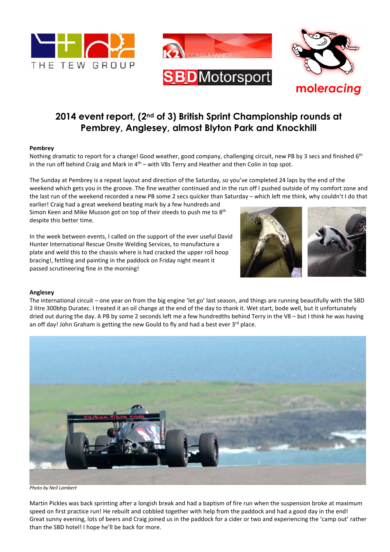



# **2014 event report, (2nd of 3) British Sprint Championship rounds at Pembrey, Anglesey, almost Blyton Park and Knockhill**

## **Pembrey**

Nothing dramatic to report for a change! Good weather, good company, challenging circuit, new PB by 3 secs and finished 6<sup>th</sup> in the run off behind Craig and Mark in  $4<sup>th</sup>$  – with V8s Terry and Heather and then Colin in top spot.

The Sunday at Pembrey is a repeat layout and direction of the Saturday, so you've completed 24 laps by the end of the weekend which gets you in the groove. The fine weather continued and in the run off I pushed outside of my comfort zone and the last run of the weekend recorded a new PB some 2 secs quicker than Saturday – which left me think, why couldn't I do that

earlier! Craig had a great weekend beating mark by a few hundreds and Simon Keen and Mike Musson got on top of their steeds to push me to  $8<sup>th</sup>$ despite this better time.

In the week between events, I called on the support of the ever useful David Hunter International Rescue Onsite Welding Services, to manufacture a plate and weld this to the chassis where is had cracked the upper roll hoop bracing!, fettling and painting in the paddock on Friday night meant it passed scrutineering fine in the morning!



#### **Anglesey**

The international circuit – one year on from the big engine 'let go' last season, and things are running beautifully with the SBD 2 litre 300bhp Duratec. I treated it an oil change at the end of the day to thank it. Wet start, bode well, but it unfortunately dried out during the day. A PB by some 2 seconds left me a few hundredths behind Terry in the V8 – but I think he was having an off day! John Graham is getting the new Gould to fly and had a best ever  $3^{rd}$  place.



*Photo by Neil Lambert* 

Martin Pickles was back sprinting after a longish break and had a baptism of fire run when the suspension broke at maximum speed on first practice run! He rebuilt and cobbled together with help from the paddock and had a good day in the end! Great sunny evening, lots of beers and Craig joined us in the paddock for a cider or two and experiencing the 'camp out' rather than the SBD hotel! I hope he'll be back for more.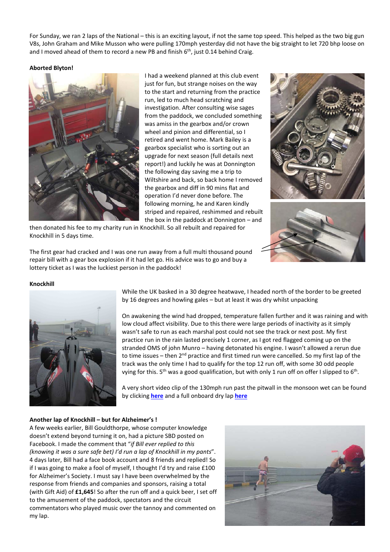For Sunday, we ran 2 laps of the National – this is an exciting layout, if not the same top speed. This helped as the two big gun V8s, John Graham and Mike Musson who were pulling 170mph yesterday did not have the big straight to let 720 bhp loose on and I moved ahead of them to record a new PB and finish  $6<sup>th</sup>$ , just 0.14 behind Craig.

## **Aborted Blyton!**



I had a weekend planned at this club event just for fun, but strange noises on the way to the start and returning from the practice run, led to much head scratching and investigation. After consulting wise sages from the paddock, we concluded something was amiss in the gearbox and/or crown wheel and pinion and differential, so I retired and went home. Mark Bailey is a gearbox specialist who is sorting out an upgrade for next season (full details next report!) and luckily he was at Donnington the following day saving me a trip to Wiltshire and back, so back home I removed the gearbox and diff in 90 mins flat and operation I'd never done before. The following morning, he and Karen kindly striped and repaired, reshimmed and rebuilt the box in the paddock at Donnington – and

then donated his fee to my charity run in Knockhill. So all rebuilt and repaired for Knockhill in 5 days time.

The first gear had cracked and I was one run away from a full multi thousand pound repair bill with a gear box explosion if it had let go. His advice was to go and buy a lottery ticket as I was the luckiest person in the paddock!



#### **Knockhill**



While the UK basked in a 30 degree heatwave, I headed north of the border to be greeted by 16 degrees and howling gales – but at least it was dry whilst unpacking

On awakening the wind had dropped, temperature fallen further and it was raining and with low cloud affect visibility. Due to this there were large periods of inactivity as it simply wasn't safe to run as each marshal post could not see the track or next post. My first practice run in the rain lasted precisely 1 corner, as I got red flagged coming up on the stranded OMS of john Munro – having detonated his engine. I wasn't allowed a rerun due to time issues – then  $2^{nd}$  practice and first timed run were cancelled. So my first lap of the track was the only time I had to qualify for the top 12 run off, with some 30 odd people vying for this. 5<sup>th</sup> was a good qualification, but with only 1 run off on offer I slipped to 6<sup>th</sup>.

A very short video clip of the 130mph run past the pitwall in the monsoon wet can be found by clicking **here** and a full onboard dry lap **here**

## **Another lap of Knockhill – but for Alzheimer's !**

A few weeks earlier, Bill Gouldthorpe, whose computer knowledge doesn't extend beyond turning it on, had a picture SBD posted on Facebook. I made the comment that "*if Bill ever replied to this (knowing it was a sure safe bet) I'd run a lap of Knockhill in my pants*". 4 days later, Bill had a face book account and 8 friends and replied! So if I was going to make a fool of myself, I thought I'd try and raise £100 for Alzheimer's Society. I must say I have been overwhelmed by the response from friends and companies and sponsors, raising a total (with Gift Aid) of **£1,645**! So after the run off and a quick beer, I set off to the amusement of the paddock, spectators and the circuit commentators who played music over the tannoy and commented on my lap.